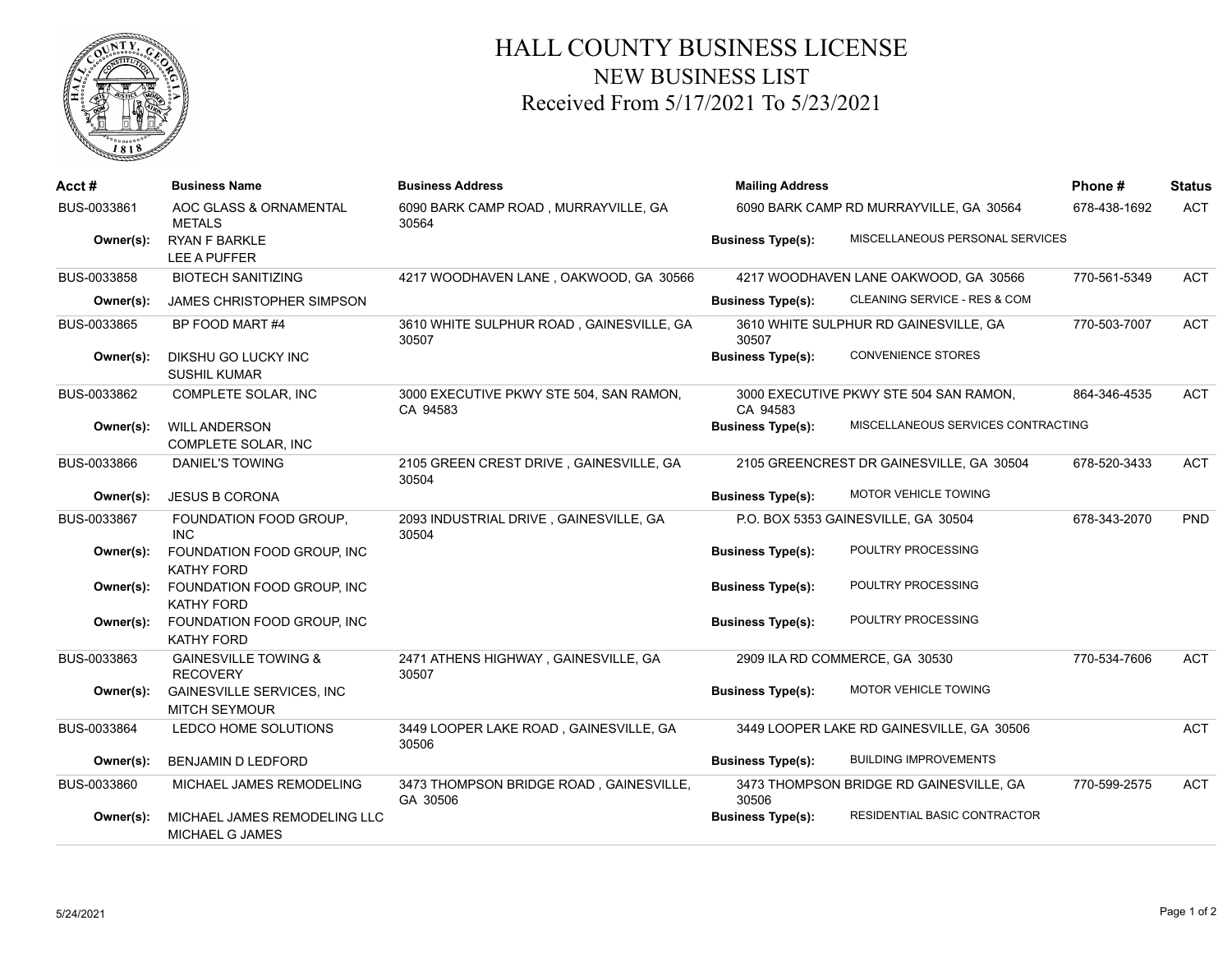

## HALL COUNTY BUSINESS LICENSE NEW BUSINESS LIST Received From 5/17/2021 To 5/23/2021

| Acct#       | <b>Business Name</b>                                      | <b>Business Address</b>                             | <b>Mailing Address</b>   |                                           | Phone#       | <b>Status</b> |
|-------------|-----------------------------------------------------------|-----------------------------------------------------|--------------------------|-------------------------------------------|--------------|---------------|
| BUS-0033861 | AOC GLASS & ORNAMENTAL<br><b>METALS</b>                   | 6090 BARK CAMP ROAD, MURRAYVILLE, GA<br>30564       |                          | 6090 BARK CAMP RD MURRAYVILLE, GA 30564   | 678-438-1692 | <b>ACT</b>    |
| Owner(s):   | <b>RYAN F BARKLE</b><br>LEE A PUFFER                      |                                                     | <b>Business Type(s):</b> | MISCELLANEOUS PERSONAL SERVICES           |              |               |
| BUS-0033858 | <b>BIOTECH SANITIZING</b>                                 | 4217 WOODHAVEN LANE, OAKWOOD, GA 30566              |                          | 4217 WOODHAVEN LANE OAKWOOD, GA 30566     | 770-561-5349 | <b>ACT</b>    |
| Owner(s):   | <b>JAMES CHRISTOPHER SIMPSON</b>                          |                                                     | <b>Business Type(s):</b> | CLEANING SERVICE - RES & COM              |              |               |
| BUS-0033865 | BP FOOD MART #4                                           | 3610 WHITE SULPHUR ROAD, GAINESVILLE, GA<br>30507   | 30507                    | 3610 WHITE SULPHUR RD GAINESVILLE, GA     | 770-503-7007 | <b>ACT</b>    |
| Owner(s):   | DIKSHU GO LUCKY INC<br><b>SUSHIL KUMAR</b>                |                                                     | <b>Business Type(s):</b> | <b>CONVENIENCE STORES</b>                 |              |               |
| BUS-0033862 | COMPLETE SOLAR, INC                                       | 3000 EXECUTIVE PKWY STE 504, SAN RAMON,<br>CA 94583 | CA 94583                 | 3000 EXECUTIVE PKWY STE 504 SAN RAMON,    | 864-346-4535 | <b>ACT</b>    |
| Owner(s):   | <b>WILL ANDERSON</b><br>COMPLETE SOLAR, INC               |                                                     | <b>Business Type(s):</b> | MISCELLANEOUS SERVICES CONTRACTING        |              |               |
| BUS-0033866 | <b>DANIEL'S TOWING</b>                                    | 2105 GREEN CREST DRIVE, GAINESVILLE, GA<br>30504    |                          | 2105 GREENCREST DR GAINESVILLE, GA 30504  | 678-520-3433 | <b>ACT</b>    |
| Owner(s):   | <b>JESUS B CORONA</b>                                     |                                                     | <b>Business Type(s):</b> | MOTOR VEHICLE TOWING                      |              |               |
| BUS-0033867 | FOUNDATION FOOD GROUP.<br><b>INC</b>                      | 2093 INDUSTRIAL DRIVE, GAINESVILLE, GA<br>30504     |                          | P.O. BOX 5353 GAINESVILLE, GA 30504       | 678-343-2070 | PND           |
| Owner(s):   | FOUNDATION FOOD GROUP, INC<br><b>KATHY FORD</b>           |                                                     | <b>Business Type(s):</b> | POULTRY PROCESSING                        |              |               |
| Owner(s):   | FOUNDATION FOOD GROUP, INC<br><b>KATHY FORD</b>           |                                                     | <b>Business Type(s):</b> | POULTRY PROCESSING                        |              |               |
| Owner(s):   | FOUNDATION FOOD GROUP, INC<br><b>KATHY FORD</b>           |                                                     | <b>Business Type(s):</b> | POULTRY PROCESSING                        |              |               |
| BUS-0033863 | <b>GAINESVILLE TOWING &amp;</b><br><b>RECOVERY</b>        | 2471 ATHENS HIGHWAY, GAINESVILLE, GA<br>30507       |                          | 2909 ILA RD COMMERCE, GA 30530            | 770-534-7606 | <b>ACT</b>    |
| Owner(s):   | <b>GAINESVILLE SERVICES, INC.</b><br><b>MITCH SEYMOUR</b> |                                                     | <b>Business Type(s):</b> | MOTOR VEHICLE TOWING                      |              |               |
| BUS-0033864 | LEDCO HOME SOLUTIONS                                      | 3449 LOOPER LAKE ROAD, GAINESVILLE, GA<br>30506     |                          | 3449 LOOPER LAKE RD GAINESVILLE, GA 30506 |              | <b>ACT</b>    |
| Owner(s):   | BENJAMIN D LEDFORD                                        |                                                     | <b>Business Type(s):</b> | <b>BUILDING IMPROVEMENTS</b>              |              |               |
| BUS-0033860 | MICHAEL JAMES REMODELING                                  | 3473 THOMPSON BRIDGE ROAD, GAINESVILLE,<br>GA 30506 | 30506                    | 3473 THOMPSON BRIDGE RD GAINESVILLE, GA   | 770-599-2575 | <b>ACT</b>    |
| Owner(s):   | MICHAEL JAMES REMODELING LLC<br>MICHAEL G JAMES           |                                                     | <b>Business Type(s):</b> | RESIDENTIAL BASIC CONTRACTOR              |              |               |